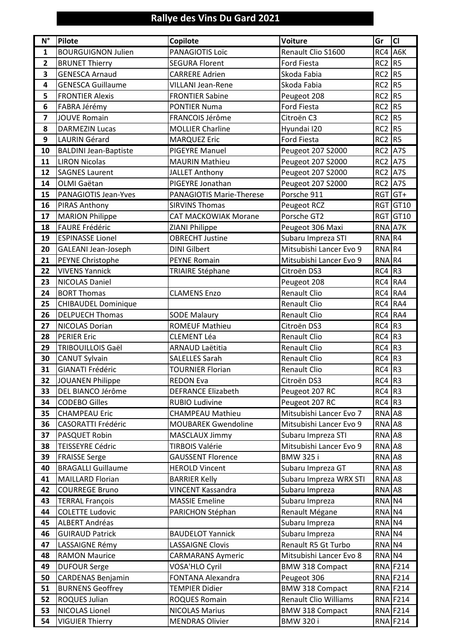## **Rallye des Vins Du Gard 2021**

| $N^{\circ}$             | <b>Pilote</b>                | Copilote                        | <b>Voiture</b>               | Gr              | <b>CI</b>       |
|-------------------------|------------------------------|---------------------------------|------------------------------|-----------------|-----------------|
| $\mathbf{1}$            | <b>BOURGUIGNON Julien</b>    | PANAGIOTIS Loïc                 | Renault Clio S1600           | RC4 A6K         |                 |
| $\overline{2}$          | <b>BRUNET Thierry</b>        | <b>SEGURA Florent</b>           | <b>Ford Fiesta</b>           | $RC2$ R5        |                 |
| 3                       | <b>GENESCA Arnaud</b>        | <b>CARRERE Adrien</b>           | Skoda Fabia                  | $RC2$ R5        |                 |
| 4                       | <b>GENESCA Guillaume</b>     | <b>VILLANI Jean-Rene</b>        | Skoda Fabia                  | $RC2$ R5        |                 |
| 5                       | <b>FRONTIER Alexis</b>       | <b>FRONTIER Sabine</b>          | Peugeot 208                  | RC <sub>2</sub> | R5              |
| 6                       | FABRA Jérémy                 | <b>PONTIER Numa</b>             | Ford Fiesta                  | $RC2$ R5        |                 |
| $\overline{\mathbf{z}}$ | <b>JOUVE Romain</b>          | FRANCOIS Jérôme                 | Citroën C3                   | $RC2$ R5        |                 |
| 8                       | <b>DARMEZIN Lucas</b>        | <b>MOLLIER Charline</b>         | Hyundai I20                  | $RC2$ R5        |                 |
| 9                       | <b>LAURIN Gérard</b>         | <b>MARQUEZ Eric</b>             | Ford Fiesta                  | $RC2$ R5        |                 |
| 10                      | <b>BALDINI Jean-Baptiste</b> | <b>PIGEYRE Manuel</b>           | Peugeot 207 S2000            | RC <sub>2</sub> | A7S             |
| 11                      | <b>LIRON Nicolas</b>         | <b>MAURIN Mathieu</b>           | Peugeot 207 S2000            | <b>RC2</b> A7S  |                 |
| 12                      | <b>SAGNES Laurent</b>        | <b>JALLET Anthony</b>           | Peugeot 207 S2000            | <b>RC2</b> A7S  |                 |
| 14                      | OLMI Gaëtan                  | PIGEYRE Jonathan                | Peugeot 207 S2000            | RC <sub>2</sub> | A7S             |
| 15                      | PANAGIOTIS Jean-Yves         | <b>PANAGIOTIS Marie-Therese</b> | Porsche 911                  | RGT GT+         |                 |
| 16                      | PIRAS Anthony                | <b>SIRVINS Thomas</b>           | Peugeot RCZ                  |                 | RGT GT10        |
| 17                      | <b>MARION Philippe</b>       | <b>CAT MACKOWIAK Morane</b>     | Porsche GT2                  |                 | RGT GT10        |
| 18                      | <b>FAURE Frédéric</b>        | ZIANI Philippe                  | Peugeot 306 Maxi             | RNA A7K         |                 |
| 19                      | <b>ESPINASSE Lionel</b>      | <b>OBRECHT Justine</b>          | Subaru Impreza STI           | RNA R4          |                 |
| 20                      | GALEANI Jean-Joseph          | <b>DINI Gilbert</b>             | Mitsubishi Lancer Evo 9      | RNA R4          |                 |
| 21                      | PEYNE Christophe             | <b>PEYNE Romain</b>             | Mitsubishi Lancer Evo 9      | RNA R4          |                 |
| 22                      | <b>VIVENS Yannick</b>        | <b>TRIAIRE Stéphane</b>         | Citroën DS3                  | $RC4$ R3        |                 |
| 23                      | <b>NICOLAS Daniel</b>        |                                 | Peugeot 208                  | RC4 RA4         |                 |
| 24                      | <b>BORT Thomas</b>           | <b>CLAMENS Enzo</b>             | <b>Renault Clio</b>          | RC4 RA4         |                 |
| 25                      | <b>CHIBAUDEL Dominique</b>   |                                 | Renault Clio                 | RC4 RA4         |                 |
| 26                      | <b>DELPUECH Thomas</b>       | <b>SODE Malaury</b>             | Renault Clio                 | RC4 RA4         |                 |
| 27                      | <b>NICOLAS Dorian</b>        | <b>ROMEUF Mathieu</b>           | Citroën DS3                  | $RC4$ R3        |                 |
| 28                      | <b>PERIER Eric</b>           | <b>CLEMENT Léa</b>              | <b>Renault Clio</b>          | $RC4$ R3        |                 |
| 29                      | <b>TRIBOUILLOIS Gaël</b>     | <b>ARNAUD Laëtitia</b>          | Renault Clio                 | RC4             | R3              |
| 30                      | <b>CANUT Sylvain</b>         | <b>SALELLES Sarah</b>           | Renault Clio                 | $RC4$ R3        |                 |
| 31                      | <b>GIANATI Frédéric</b>      | <b>TOURNIER Florian</b>         | <b>Renault Clio</b>          | $RC4$ R3        |                 |
| 32                      | JOUANEN Philippe             | <b>REDON Eva</b>                | Citroën DS3                  | $RC4$ R3        |                 |
| 33                      | DEL BIANCO Jérôme            | <b>DEFRANCE Elizabeth</b>       | Peugeot 207 RC               | $RC4$ R3        |                 |
| 34                      | <b>CODEBO Gilles</b>         | <b>RUBIO Ludivine</b>           | Peugeot 207 RC               | $RC4$ R3        |                 |
| 35                      | <b>CHAMPEAU Eric</b>         | <b>CHAMPEAU Mathieu</b>         | Mitsubishi Lancer Evo 7      | RNA A8          |                 |
| 36                      | <b>CASORATTI Frédéric</b>    | <b>MOUBAREK Gwendoline</b>      | Mitsubishi Lancer Evo 9      | RNA A8          |                 |
| 37                      | PASQUET Robin                | MASCLAUX Jimmy                  | Subaru Impreza STI           | RNA A8          |                 |
| 38                      | <b>TEISSEYRE Cédric</b>      | <b>TIRBOIS Valérie</b>          | Mitsubishi Lancer Evo 9      | RNA A8          |                 |
| 39                      | <b>FRAISSE Serge</b>         | <b>GAUSSENT Florence</b>        | <b>BMW 325 i</b>             | RNA A8          |                 |
| 40                      | <b>BRAGALLI Guillaume</b>    | <b>HEROLD Vincent</b>           | Subaru Impreza GT            | RNA A8          |                 |
| 41                      | <b>MAILLARD Florian</b>      | <b>BARRIER Kelly</b>            | Subaru Impreza WRX STI       | RNA A8          |                 |
| 42                      | <b>COURREGE Bruno</b>        | <b>VINCENT Kassandra</b>        | Subaru Impreza               | RNA A8          |                 |
| 43                      | <b>TERRAL François</b>       | <b>MASSIE Emeline</b>           | Subaru Impreza               | RNA N4          |                 |
| 44                      | <b>COLETTE Ludovic</b>       | PARICHON Stéphan                | Renault Mégane               | RNA N4          |                 |
| 45                      | <b>ALBERT Andréas</b>        |                                 | Subaru Impreza               | RNA N4          |                 |
| 46                      | <b>GUIRAUD Patrick</b>       | <b>BAUDELOT Yannick</b>         | Subaru Impreza               | RNA N4          |                 |
| 47                      | LASSAIGNE Rémy               | <b>LASSAIGNE Clovis</b>         | Renault R5 Gt Turbo          | RNA N4          |                 |
| 48                      | <b>RAMON Maurice</b>         | <b>CARMARANS Aymeric</b>        | Mitsubishi Lancer Evo 8      | RNA N4          |                 |
| 49                      | <b>DUFOUR Serge</b>          | VOSA'HLO Cyril                  | <b>BMW 318 Compact</b>       |                 | <b>RNA F214</b> |
| 50                      | <b>CARDENAS Benjamin</b>     | FONTANA Alexandra               | Peugeot 306                  |                 | <b>RNA F214</b> |
| 51                      | <b>BURNENS Geoffrey</b>      | <b>TEMPIER Didier</b>           | <b>BMW 318 Compact</b>       |                 | <b>RNA F214</b> |
| 52                      | ROQUES Julian                | <b>ROQUES Romain</b>            | <b>Renault Clio Williams</b> |                 | <b>RNA F214</b> |
| 53                      | <b>NICOLAS Lionel</b>        | <b>NICOLAS Marius</b>           | <b>BMW 318 Compact</b>       |                 | RNA F214        |
| 54                      | <b>VIGUIER Thierry</b>       | <b>MENDRAS Olivier</b>          | <b>BMW 320 i</b>             |                 | <b>RNA F214</b> |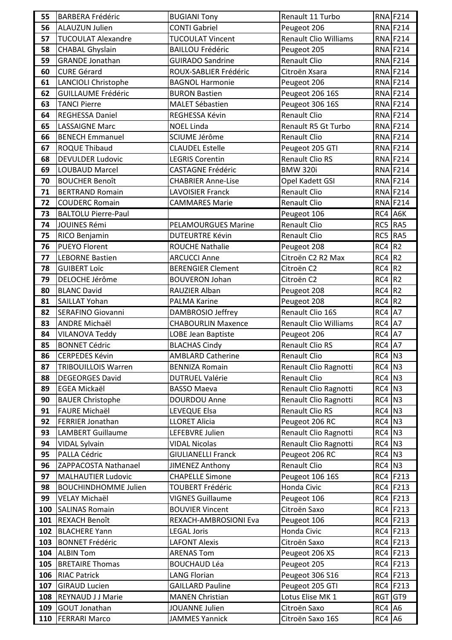| 55  | <b>BARBERA Frédéric</b>                          | <b>BUGIANI Tony</b>                               | Renault 11 Turbo                    |          | <b>RNA F214</b> |
|-----|--------------------------------------------------|---------------------------------------------------|-------------------------------------|----------|-----------------|
| 56  | <b>ALAUZUN Julien</b>                            | <b>CONTI Gabriel</b>                              | Peugeot 206                         |          | RNA F214        |
| 57  | <b>TUCOULAT Alexandre</b>                        | <b>TUCOULAT Vincent</b>                           | <b>Renault Clio Williams</b>        |          | <b>RNA F214</b> |
| 58  | <b>CHABAL Ghyslain</b>                           | <b>BAILLOU Frédéric</b>                           | Peugeot 205                         |          | <b>RNA F214</b> |
| 59  | <b>GRANDE Jonathan</b>                           | <b>GUIRADO Sandrine</b>                           | Renault Clio                        |          | <b>RNA F214</b> |
| 60  | <b>CURE Gérard</b>                               | ROUX-SABLIER Frédéric                             | Citroën Xsara                       |          | <b>RNA F214</b> |
| 61  | <b>LANCIOLI Christophe</b>                       | <b>BAGNOL Harmonie</b>                            | Peugeot 206                         |          | RNA F214        |
| 62  | <b>GUILLAUME Frédéric</b>                        | <b>BURON Bastien</b>                              | Peugeot 206 16S                     |          | RNA F214        |
| 63  | <b>TANCI Pierre</b>                              | <b>MALET Sébastien</b>                            | Peugeot 306 16S                     |          | <b>RNA F214</b> |
| 64  | <b>REGHESSA Daniel</b>                           | REGHESSA Kévin                                    | Renault Clio                        |          | RNA F214        |
| 65  | <b>LASSAIGNE Marc</b>                            | <b>NOEL Linda</b>                                 | Renault R5 Gt Turbo                 |          | RNA F214        |
| 66  | <b>BENECH Emmanuel</b>                           | SCIUME Jérôme                                     | Renault Clio                        |          | RNA F214        |
| 67  | <b>ROQUE Thibaud</b>                             | <b>CLAUDEL Estelle</b>                            | Peugeot 205 GTI                     |          | <b>RNA F214</b> |
| 68  | <b>DEVULDER Ludovic</b>                          | <b>LEGRIS Corentin</b>                            | <b>Renault Clio RS</b>              |          | <b>RNA F214</b> |
| 69  | LOUBAUD Marcel                                   | <b>CASTAGNE Frédéric</b>                          | <b>BMW 320i</b>                     |          | <b>RNA F214</b> |
| 70  | <b>BOUCHER Benoît</b>                            | <b>CHABRIER Anne-Lise</b>                         | Opel Kadett GSI                     |          | RNA F214        |
| 71  | <b>BERTRAND Romain</b>                           | <b>LAVOISIER Franck</b>                           | <b>Renault Clio</b>                 |          | <b>RNA F214</b> |
| 72  | <b>COUDERC Romain</b>                            | <b>CAMMARES Marie</b>                             | Renault Clio                        |          | <b>RNA F214</b> |
| 73  | <b>BALTOLU Pierre-Paul</b>                       |                                                   | Peugeot 106                         | RC4 A6K  |                 |
| 74  | JOUINES Rémi                                     | <b>PELAMOURGUES Marine</b>                        | Renault Clio                        | RC5 RA5  |                 |
| 75  | RICO Benjamin                                    | <b>DUTEURTRE Kévin</b>                            | Renault Clio                        | RC5 RA5  |                 |
| 76  | PUEYO Florent                                    | <b>ROUCHE Nathalie</b>                            | Peugeot 208                         | $RC4$ R2 |                 |
| 77  | <b>LEBORNE Bastien</b>                           | <b>ARCUCCI Anne</b>                               | Citroën C2 R2 Max                   | $RC4$ R2 |                 |
| 78  | <b>GUIBERT LOÏC</b>                              | <b>BERENGIER Clement</b>                          | Citroën C2                          | $RC4$ R2 |                 |
| 79  | DELOCHE Jérôme                                   | <b>BOUVERON Johan</b>                             | Citroën C2                          | $RC4$ R2 |                 |
| 80  | <b>BLANC David</b>                               | RAUZIER Alban                                     | Peugeot 208                         | $RC4$ R2 |                 |
| 81  | <b>SAILLAT Yohan</b>                             | PALMA Karine                                      | Peugeot 208                         | $RC4$ R2 |                 |
| 82  | SERAFINO Giovanni                                | DAMBROSIO Jeffrey                                 | Renault Clio 16S                    | $RC4$ A7 |                 |
| 83  | <b>ANDRE Michaël</b>                             | <b>CHABOURLIN Maxence</b>                         | Renault Clio Williams               | $RC4$ A7 |                 |
| 84  | <b>VILANOVA Teddy</b>                            | LOBE Jean Baptiste                                | Peugeot 206                         | $RC4$ A7 |                 |
| 85  | <b>BONNET Cédric</b>                             | <b>BLACHAS Cindy</b>                              | Renault Clio RS                     | $RC4$ A7 |                 |
| 86  | <b>CERPEDES Kévin</b>                            | <b>AMBLARD Catherine</b>                          | <b>Renault Clio</b>                 | $RC4$ N3 |                 |
| 87  | <b>TRIBOUILLOIS Warren</b>                       | <b>BENNIZA Romain</b>                             | Renault Clio Ragnotti               | $RC4$ N3 |                 |
| 88  | <b>DEGEORGES David</b>                           | <b>DUTRUEL Valérie</b>                            | Renault Clio                        | RC4 N3   |                 |
| 89  | <b>EGEA Mickaël</b>                              | <b>BASSO Maeva</b>                                | Renault Clio Ragnotti               | RC4 N3   |                 |
| 90  | <b>BAUER Christophe</b>                          | <b>DOURDOU Anne</b>                               | Renault Clio Ragnotti               | $RC4$ N3 |                 |
| 91  | <b>FAURE Michaël</b>                             | LEVEQUE Elsa                                      | Renault Clio RS                     | $RC4$ N3 |                 |
| 92  | <b>FERRIER Jonathan</b>                          | <b>LLORET Alicia</b>                              | Peugeot 206 RC                      | $RC4$ N3 |                 |
| 93  | <b>LAMBERT Guillaume</b>                         | LEFEBVRE Julien                                   | Renault Clio Ragnotti               | RC4 N3   |                 |
| 94  | <b>VIDAL Sylvain</b>                             | <b>VIDAL Nicolas</b>                              | Renault Clio Ragnotti               | $RC4$ N3 |                 |
| 95  | PALLA Cédric                                     | <b>GIULIANELLI Franck</b>                         | Peugeot 206 RC                      | $RC4$ N3 |                 |
| 96  | ZAPPACOSTA Nathanael                             | JIMENEZ Anthony                                   | <b>Renault Clio</b>                 | $RC4$ N3 |                 |
| 97  |                                                  |                                                   |                                     |          |                 |
|     | <b>MALHAUTIER Ludovic</b>                        | <b>CHAPELLE Simone</b>                            |                                     |          | RC4 F213        |
| 98  | <b>BOUCHINDHOMME Julien</b>                      | <b>TOUBERT Frédéric</b>                           | Peugeot 106 16S<br>Honda Civic      |          | RC4 F213        |
| 99  |                                                  | <b>VIGNES Guillaume</b>                           |                                     |          | RC4 F213        |
| 100 | VELAY Michaël<br><b>SALINAS Romain</b>           | <b>BOUVIER Vincent</b>                            | Peugeot 106<br>Citroën Saxo         |          | RC4 F213        |
| 101 | <b>REXACH Benoît</b>                             | REXACH-AMBROSIONI Eva                             | Peugeot 106                         |          | RC4 F213        |
| 102 | <b>BLACHERE Yann</b>                             | <b>LEGAL Joris</b>                                | Honda Civic                         |          | RC4 F213        |
| 103 | <b>BONNET Frédéric</b>                           | <b>LAFONT Alexis</b>                              | Citroën Saxo                        |          | RC4 F213        |
| 104 | <b>ALBIN Tom</b>                                 | <b>ARENAS Tom</b>                                 |                                     |          | RC4 F213        |
| 105 | <b>BRETAIRE Thomas</b>                           | <b>BOUCHAUD Léa</b>                               | Peugeot 206 XS                      |          | RC4 F213        |
| 106 | <b>RIAC Patrick</b>                              | <b>LANG Florian</b>                               | Peugeot 205                         |          | RC4 F213        |
| 107 |                                                  |                                                   | Peugeot 306 S16                     |          |                 |
| 108 | <b>GIRAUD Lucien</b><br><b>REYNAUD J J Marie</b> | <b>GAILLARD Pauline</b><br><b>MANEN Christian</b> | Peugeot 205 GTI<br>Lotus Elise MK 1 | RGT GT9  | RC4 F213        |
| 109 | <b>GOUT Jonathan</b>                             | JOUANNE Julien                                    | Citroën Saxo                        | $RC4$ A6 |                 |